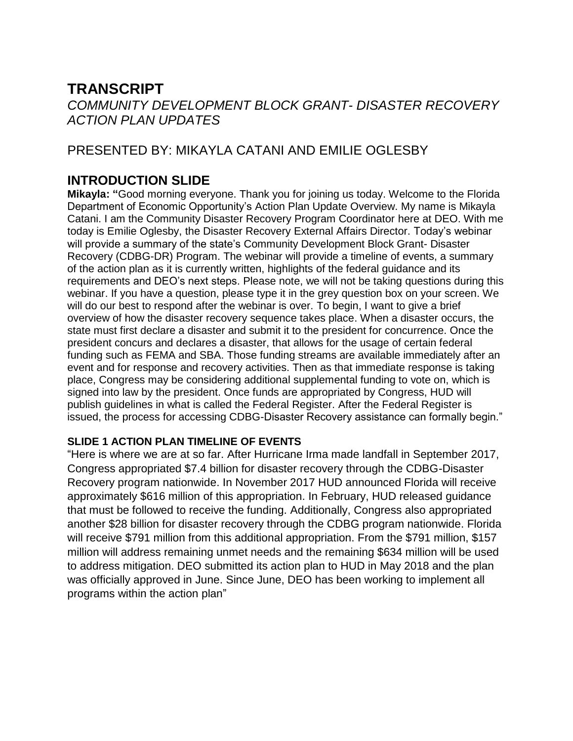# **TRANSCRIPT**

*COMMUNITY DEVELOPMENT BLOCK GRANT- DISASTER RECOVERY ACTION PLAN UPDATES*

# PRESENTED BY: MIKAYLA CATANI AND EMILIE OGLESBY

# **INTRODUCTION SLIDE**

**Mikayla: "**Good morning everyone. Thank you for joining us today. Welcome to the Florida Department of Economic Opportunity's Action Plan Update Overview. My name is Mikayla Catani. I am the Community Disaster Recovery Program Coordinator here at DEO. With me today is Emilie Oglesby, the Disaster Recovery External Affairs Director. Today's webinar will provide a summary of the state's Community Development Block Grant- Disaster Recovery (CDBG-DR) Program. The webinar will provide a timeline of events, a summary of the action plan as it is currently written, highlights of the federal guidance and its requirements and DEO's next steps. Please note, we will not be taking questions during this webinar. If you have a question, please type it in the grey question box on your screen. We will do our best to respond after the webinar is over. To begin, I want to give a brief overview of how the disaster recovery sequence takes place. When a disaster occurs, the state must first declare a disaster and submit it to the president for concurrence. Once the president concurs and declares a disaster, that allows for the usage of certain federal funding such as FEMA and SBA. Those funding streams are available immediately after an event and for response and recovery activities. Then as that immediate response is taking place, Congress may be considering additional supplemental funding to vote on, which is signed into law by the president. Once funds are appropriated by Congress, HUD will publish guidelines in what is called the Federal Register. After the Federal Register is issued, the process for accessing CDBG-Disaster Recovery assistance can formally begin."

#### **SLIDE 1 ACTION PLAN TIMELINE OF EVENTS**

"Here is where we are at so far. After Hurricane Irma made landfall in September 2017, Congress appropriated \$7.4 billion for disaster recovery through the CDBG-Disaster Recovery program nationwide. In November 2017 HUD announced Florida will receive approximately \$616 million of this appropriation. In February, HUD released guidance that must be followed to receive the funding. Additionally, Congress also appropriated another \$28 billion for disaster recovery through the CDBG program nationwide. Florida will receive \$791 million from this additional appropriation. From the \$791 million, \$157 million will address remaining unmet needs and the remaining \$634 million will be used to address mitigation. DEO submitted its action plan to HUD in May 2018 and the plan was officially approved in June. Since June, DEO has been working to implement all programs within the action plan"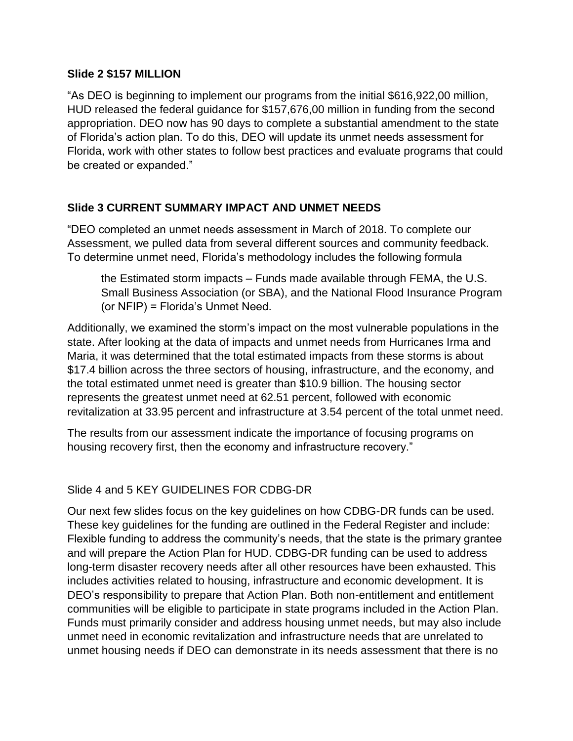#### **Slide 2 \$157 MILLION**

"As DEO is beginning to implement our programs from the initial \$616,922,00 million, HUD released the federal guidance for \$157,676,00 million in funding from the second appropriation. DEO now has 90 days to complete a substantial amendment to the state of Florida's action plan. To do this, DEO will update its unmet needs assessment for Florida, work with other states to follow best practices and evaluate programs that could be created or expanded."

## **Slide 3 CURRENT SUMMARY IMPACT AND UNMET NEEDS**

"DEO completed an unmet needs assessment in March of 2018. To complete our Assessment, we pulled data from several different sources and community feedback. To determine unmet need, Florida's methodology includes the following formula

the Estimated storm impacts – Funds made available through FEMA, the U.S. Small Business Association (or SBA), and the National Flood Insurance Program (or NFIP) = Florida's Unmet Need.

Additionally, we examined the storm's impact on the most vulnerable populations in the state. After looking at the data of impacts and unmet needs from Hurricanes Irma and Maria, it was determined that the total estimated impacts from these storms is about \$17.4 billion across the three sectors of housing, infrastructure, and the economy, and the total estimated unmet need is greater than \$10.9 billion. The housing sector represents the greatest unmet need at 62.51 percent, followed with economic revitalization at 33.95 percent and infrastructure at 3.54 percent of the total unmet need.

The results from our assessment indicate the importance of focusing programs on housing recovery first, then the economy and infrastructure recovery."

#### Slide 4 and 5 KEY GUIDELINES FOR CDBG-DR

Our next few slides focus on the key guidelines on how CDBG-DR funds can be used. These key guidelines for the funding are outlined in the Federal Register and include: Flexible funding to address the community's needs, that the state is the primary grantee and will prepare the Action Plan for HUD. CDBG-DR funding can be used to address long-term disaster recovery needs after all other resources have been exhausted. This includes activities related to housing, infrastructure and economic development. It is DEO's responsibility to prepare that Action Plan. Both non-entitlement and entitlement communities will be eligible to participate in state programs included in the Action Plan. Funds must primarily consider and address housing unmet needs, but may also include unmet need in economic revitalization and infrastructure needs that are unrelated to unmet housing needs if DEO can demonstrate in its needs assessment that there is no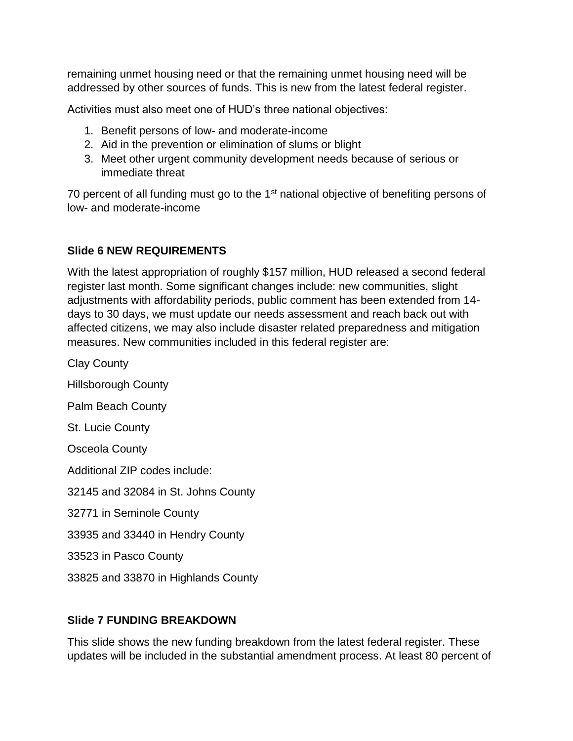remaining unmet housing need or that the remaining unmet housing need will be addressed by other sources of funds. This is new from the latest federal register.

Activities must also meet one of HUD's three national objectives:

- 1. Benefit persons of low- and moderate-income
- 2. Aid in the prevention or elimination of slums or blight
- 3. Meet other urgent community development needs because of serious or immediate threat

70 percent of all funding must go to the 1<sup>st</sup> national objective of benefiting persons of low- and moderate-income

## **Slide 6 NEW REQUIREMENTS**

With the latest appropriation of roughly \$157 million, HUD released a second federal register last month. Some significant changes include: new communities, slight adjustments with affordability periods, public comment has been extended from 14 days to 30 days, we must update our needs assessment and reach back out with affected citizens, we may also include disaster related preparedness and mitigation measures. New communities included in this federal register are:

Clay County

Hillsborough County

Palm Beach County

St. Lucie County

Osceola County

Additional ZIP codes include:

32145 and 32084 in St. Johns County

32771 in Seminole County

33935 and 33440 in Hendry County

33523 in Pasco County

33825 and 33870 in Highlands County

#### **Slide 7 FUNDING BREAKDOWN**

This slide shows the new funding breakdown from the latest federal register. These updates will be included in the substantial amendment process. At least 80 percent of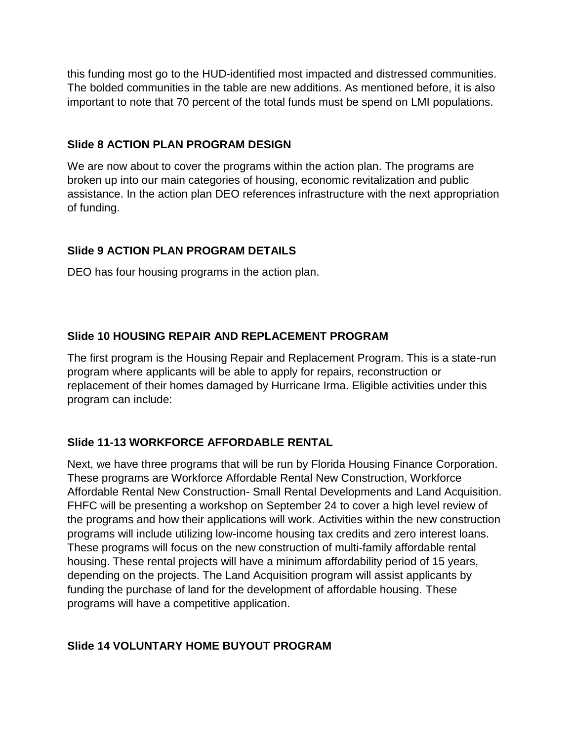this funding most go to the HUD-identified most impacted and distressed communities. The bolded communities in the table are new additions. As mentioned before, it is also important to note that 70 percent of the total funds must be spend on LMI populations.

#### **Slide 8 ACTION PLAN PROGRAM DESIGN**

We are now about to cover the programs within the action plan. The programs are broken up into our main categories of housing, economic revitalization and public assistance. In the action plan DEO references infrastructure with the next appropriation of funding.

## **Slide 9 ACTION PLAN PROGRAM DETAILS**

DEO has four housing programs in the action plan.

## **Slide 10 HOUSING REPAIR AND REPLACEMENT PROGRAM**

The first program is the Housing Repair and Replacement Program. This is a state-run program where applicants will be able to apply for repairs, reconstruction or replacement of their homes damaged by Hurricane Irma. Eligible activities under this program can include:

## **Slide 11-13 WORKFORCE AFFORDABLE RENTAL**

Next, we have three programs that will be run by Florida Housing Finance Corporation. These programs are Workforce Affordable Rental New Construction, Workforce Affordable Rental New Construction- Small Rental Developments and Land Acquisition. FHFC will be presenting a workshop on September 24 to cover a high level review of the programs and how their applications will work. Activities within the new construction programs will include utilizing low-income housing tax credits and zero interest loans. These programs will focus on the new construction of multi-family affordable rental housing. These rental projects will have a minimum affordability period of 15 years, depending on the projects. The Land Acquisition program will assist applicants by funding the purchase of land for the development of affordable housing. These programs will have a competitive application.

# **Slide 14 VOLUNTARY HOME BUYOUT PROGRAM**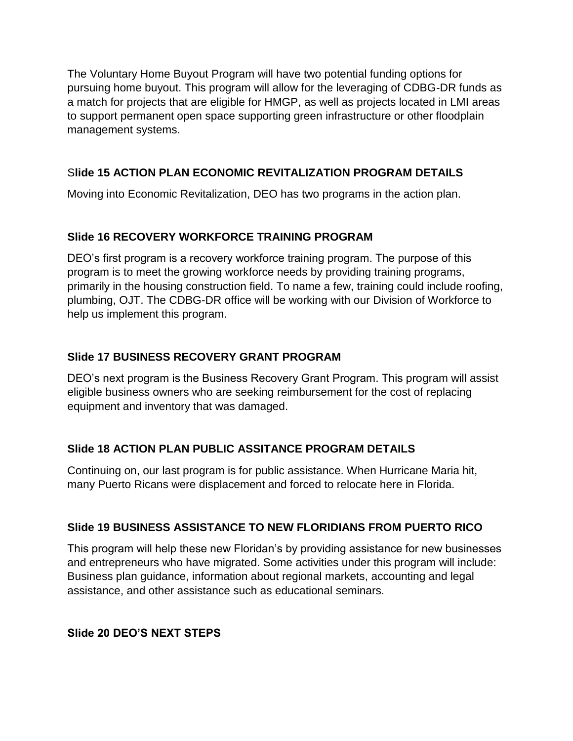The Voluntary Home Buyout Program will have two potential funding options for pursuing home buyout. This program will allow for the leveraging of CDBG-DR funds as a match for projects that are eligible for HMGP, as well as projects located in LMI areas to support permanent open space supporting green infrastructure or other floodplain management systems.

## S**lide 15 ACTION PLAN ECONOMIC REVITALIZATION PROGRAM DETAILS**

Moving into Economic Revitalization, DEO has two programs in the action plan.

## **Slide 16 RECOVERY WORKFORCE TRAINING PROGRAM**

DEO's first program is a recovery workforce training program. The purpose of this program is to meet the growing workforce needs by providing training programs, primarily in the housing construction field. To name a few, training could include roofing, plumbing, OJT. The CDBG-DR office will be working with our Division of Workforce to help us implement this program.

## **Slide 17 BUSINESS RECOVERY GRANT PROGRAM**

DEO's next program is the Business Recovery Grant Program. This program will assist eligible business owners who are seeking reimbursement for the cost of replacing equipment and inventory that was damaged.

#### **Slide 18 ACTION PLAN PUBLIC ASSITANCE PROGRAM DETAILS**

Continuing on, our last program is for public assistance. When Hurricane Maria hit, many Puerto Ricans were displacement and forced to relocate here in Florida.

## **Slide 19 BUSINESS ASSISTANCE TO NEW FLORIDIANS FROM PUERTO RICO**

This program will help these new Floridan's by providing assistance for new businesses and entrepreneurs who have migrated. Some activities under this program will include: Business plan guidance, information about regional markets, accounting and legal assistance, and other assistance such as educational seminars.

#### **Slide 20 DEO'S NEXT STEPS**